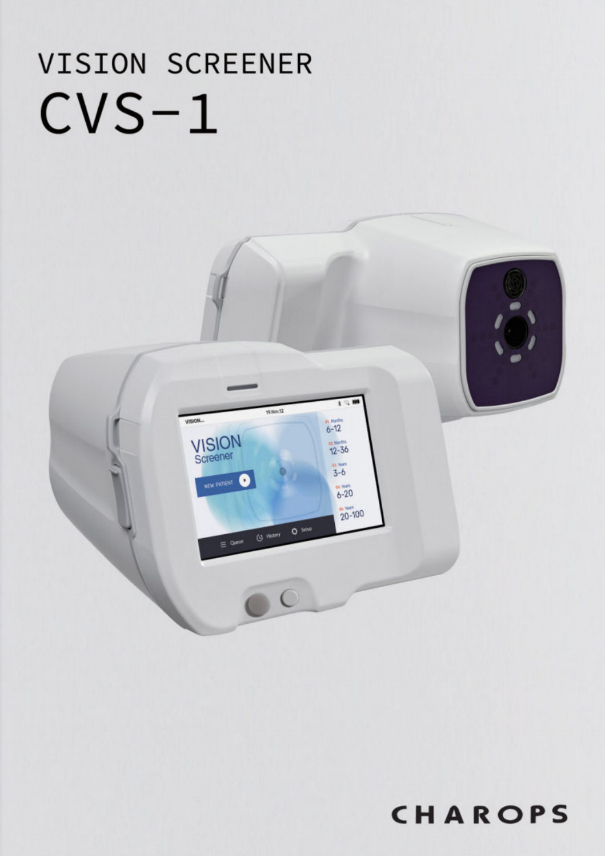# VISION SCREENER  $CVS-1$



# CHAROPS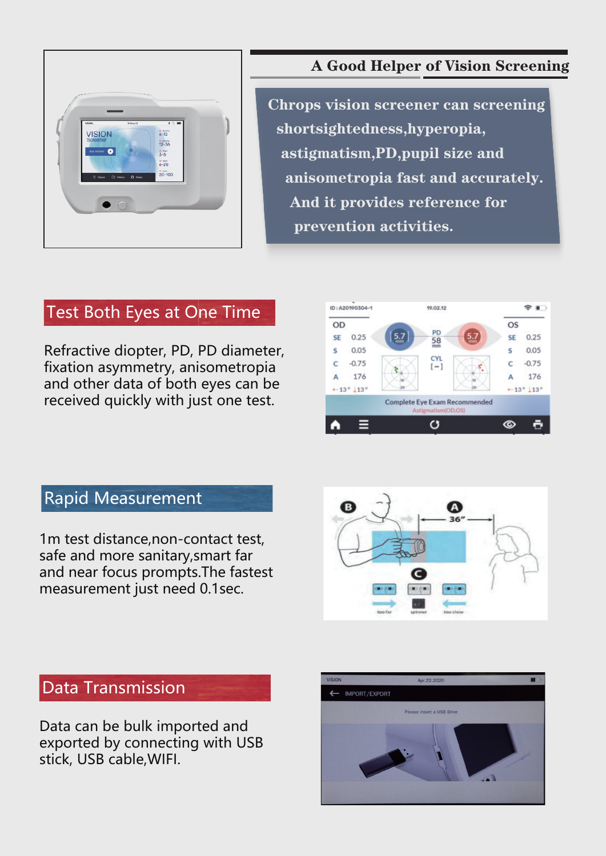

#### A Good Helper of Vision Screening

Chrops vision screener can screening shortsightedness,hyperopia, astigmatism,PD,pupil size and anisometropia fast and accurately. And it provides reference for prevention activities.

#### Test Both Eyes at One Time

Refractive diopter, PD, PD diameter, fixation asymmetry, anisometropia and other data of both eyes can be received quickly with just one test.



#### Rapid Measurement

1m test distance,non-contact test, safe and more sanitary,smart far and near focus prompts.The fastest measurement just need 0.1sec.





#### Data Transmission

Data can be bulk imported and exported by connecting with USB stick, USB cable,WIFI.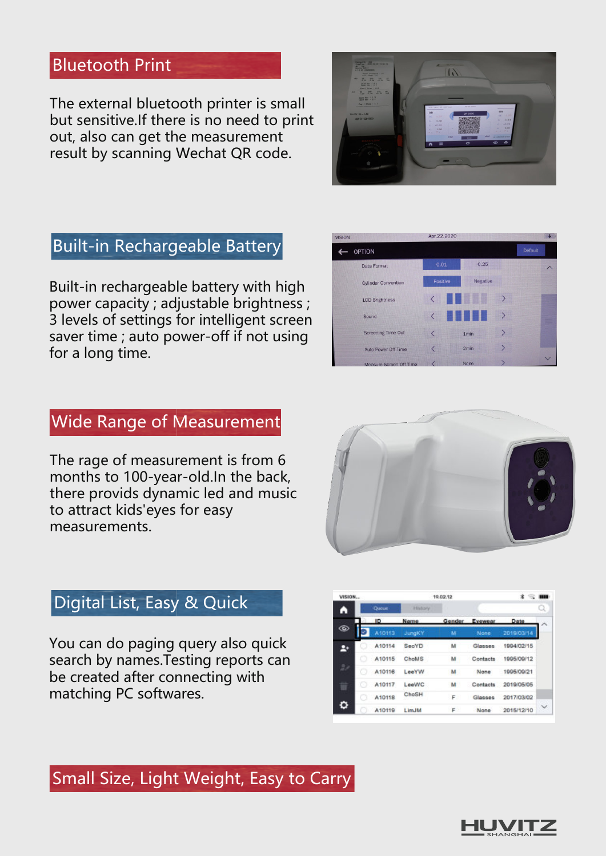#### Bluetooth Print

The external bluetooth printer is small but sensitive.If there is no need to print out, also can get the measurement result by scanning Wechat QR code.



## Built-in Rechargeable Battery

Built-in rechargeable battery with high power capacity ; adjustable brightness ; 3 levels of settings for intelligent screen saver time ; auto power-off if not using for a long time.



### Wide Range of Measurement

The rage of measurement is from 6 months to 100-year-old.In the back, there provids dynamic led and music to attract kids'eyes for easy measurements.



### Digital List, Easy & Quick

You can do paging query also quick search by names.Testing reports can be created after connecting with matching PC softwares.

| <b>VISION</b>      |  | 19.02.12  |                |    | 胄<br>m         |            |              |
|--------------------|--|-----------|----------------|----|----------------|------------|--------------|
| A                  |  | Queue     | <b>History</b> |    |                |            | Q            |
|                    |  | <b>ID</b> | Name           |    | Gender Evewear | Date       |              |
| ⊛                  |  | A10113    | <b>JungKY</b>  | м  | None           | 2019/03/14 |              |
| Æ۰                 |  | A10114    | SeoYD          | м  | Glasses        | 1994/02/15 |              |
|                    |  | A10115    | ChoMS          | м  | Contacts       | 1995/09/12 |              |
| $\frac{1}{\alpha}$ |  | A10116    | LeerW          | м  | None           | 1995/09/21 |              |
|                    |  | A10117    | LeeWC          | м  | Contacts       | 2019/05/05 |              |
|                    |  | A10118    | ChoSH          | F. | Glasses        | 2017/03/02 |              |
| ٥                  |  | A10119    | LimJM          | F  | None           | 2015/12/10 | $\checkmark$ |

#### Small Size, Light Weight, Easy to Carry